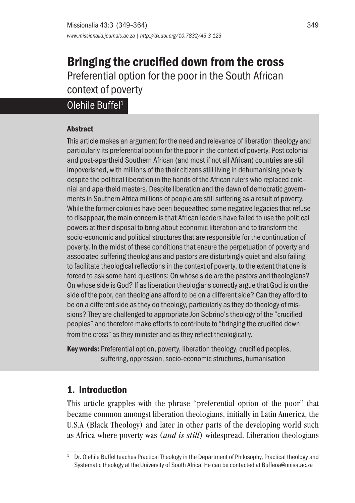*www.missionalia.journals.ac.za | http://dx.doi.org/10.7832/43-3-123*

# Bringing the crucified down from the cross Preferential option for the poor in the South African context of poverty

# Olehile Buffel<sup>1</sup>

#### Abstract

This article makes an argument for the need and relevance of liberation theology and particularly its preferential option for the poor in the context of poverty. Post colonial and post-apartheid Southern African (and most if not all African) countries are still impoverished, with millions of the their citizens still living in dehumanising poverty despite the political liberation in the hands of the African rulers who replaced colonial and apartheid masters. Despite liberation and the dawn of democratic governments in Southern Africa millions of people are still suffering as a result of poverty. While the former colonies have been bequeathed some negative legacies that refuse to disappear, the main concern is that African leaders have failed to use the political powers at their disposal to bring about economic liberation and to transform the socio-economic and political structures that are responsible for the continuation of poverty. In the midst of these conditions that ensure the perpetuation of poverty and associated suffering theologians and pastors are disturbingly quiet and also failing to facilitate theological reflections in the context of poverty, to the extent that one is forced to ask some hard questions: On whose side are the pastors and theologians? On whose side is God? If as liberation theologians correctly argue that God is on the side of the poor, can theologians afford to be on a different side? Can they afford to be on a different side as they do theology, particularly as they do theology of missions? They are challenged to appropriate Jon Sobrino's theology of the "crucified peoples" and therefore make efforts to contribute to "bringing the crucified down from the cross" as they minister and as they reflect theologically.

Key words: Preferential option, poverty, liberation theology, crucified peoples, suffering, oppression, socio-economic structures, humanisation

### 1. Introduction

This article grapples with the phrase "preferential option of the poor" that became common amongst liberation theologians, initially in Latin America, the U.S.A (Black Theology) and later in other parts of the developing world such as Africa where poverty was (*and is still*) widespread. Liberation theologians

Dr. Olehile Buffel teaches Practical Theology in the Department of Philosophy, Practical theology and Systematic theology at the University of South Africa. He can be contacted at Buffeoa@unisa.ac.za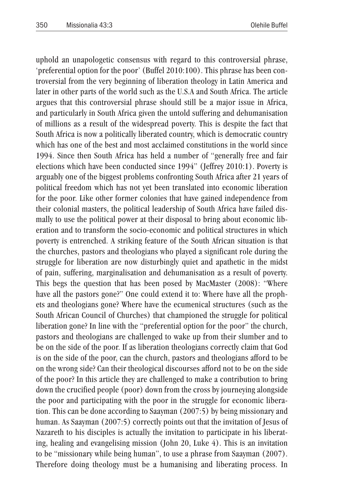uphold an unapologetic consensus with regard to this controversial phrase, 'preferential option for the poor' (Buffel 2010:100). This phrase has been controversial from the very beginning of liberation theology in Latin America and later in other parts of the world such as the U.S.A and South Africa. The article argues that this controversial phrase should still be a major issue in Africa, and particularly in South Africa given the untold suffering and dehumanisation of millions as a result of the widespread poverty. This is despite the fact that South Africa is now a politically liberated country, which is democratic country which has one of the best and most acclaimed constitutions in the world since 1994. Since then South Africa has held a number of "generally free and fair elections which have been conducted since 1994" (Jeffrey 2010:1). Poverty is arguably one of the biggest problems confronting South Africa after 21 years of political freedom which has not yet been translated into economic liberation for the poor. Like other former colonies that have gained independence from their colonial masters, the political leadership of South Africa have failed dismally to use the political power at their disposal to bring about economic liberation and to transform the socio-economic and political structures in which poverty is entrenched. A striking feature of the South African situation is that the churches, pastors and theologians who played a significant role during the struggle for liberation are now disturbingly quiet and apathetic in the midst of pain, suffering, marginalisation and dehumanisation as a result of poverty. This begs the question that has been posed by MacMaster (2008): "Where have all the pastors gone?" One could extend it to: Where have all the prophets and theologians gone? Where have the ecumenical structures (such as the South African Council of Churches) that championed the struggle for political liberation gone? In line with the "preferential option for the poor" the church, pastors and theologians are challenged to wake up from their slumber and to be on the side of the poor. If as liberation theologians correctly claim that God is on the side of the poor, can the church, pastors and theologians afford to be on the wrong side? Can their theological discourses afford not to be on the side of the poor? In this article they are challenged to make a contribution to bring down the crucified people (poor) down from the cross by journeying alongside the poor and participating with the poor in the struggle for economic liberation. This can be done according to Saayman (2007:5) by being missionary and human. As Saayman (2007:5) correctly points out that the invitation of Jesus of Nazareth to his disciples is actually the invitation to participate in his liberating, healing and evangelising mission (John 20, Luke 4). This is an invitation to be "missionary while being human", to use a phrase from Saayman (2007). Therefore doing theology must be a humanising and liberating process. In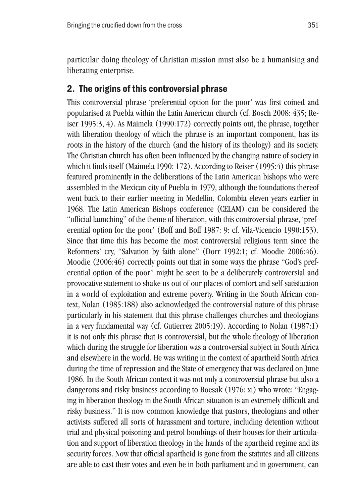particular doing theology of Christian mission must also be a humanising and liberating enterprise.

#### 2. The origins of this controversial phrase

This controversial phrase 'preferential option for the poor' was first coined and popularised at Puebla within the Latin American church (cf. Bosch 2008: 435; Reiser 1995:3, 4). As Maimela (1990:172) correctly points out, the phrase, together with liberation theology of which the phrase is an important component, has its roots in the history of the church (and the history of its theology) and its society. The Christian church has often been influenced by the changing nature of society in which it finds itself (Maimela 1990: 172). According to Reiser (1995:4) this phrase featured prominently in the deliberations of the Latin American bishops who were assembled in the Mexican city of Puebla in 1979, although the foundations thereof went back to their earlier meeting in Medellin, Colombia eleven years earlier in 1968. The Latin American Bishops conference (CELAM) can be considered the "official launching" of the theme of liberation, with this controversial phrase, 'preferential option for the poor' (Boff and Boff 1987: 9: cf. Vila-Vicencio 1990:153). Since that time this has become the most controversial religious term since the Reformers' cry, "Salvation by faith alone" (Dorr 1992:1; cf. Moodie 2006:46). Moodie (2006:46) correctly points out that in some ways the phrase "God's preferential option of the poor" might be seen to be a deliberately controversial and provocative statement to shake us out of our places of comfort and self-satisfaction in a world of exploitation and extreme poverty. Writing in the South African context, Nolan (1985:188) also acknowledged the controversial nature of this phrase particularly in his statement that this phrase challenges churches and theologians in a very fundamental way (cf. Gutierrez 2005:19). According to Nolan (1987:1) it is not only this phrase that is controversial, but the whole theology of liberation which during the struggle for liberation was a controversial subject in South Africa and elsewhere in the world. He was writing in the context of apartheid South Africa during the time of repression and the State of emergency that was declared on June 1986. In the South African context it was not only a controversial phrase but also a dangerous and risky business according to Boesak (1976: xi) who wrote: "Engaging in liberation theology in the South African situation is an extremely difficult and risky business." It is now common knowledge that pastors, theologians and other activists suffered all sorts of harassment and torture, including detention without trial and physical poisoning and petrol bombings of their houses for their articulation and support of liberation theology in the hands of the apartheid regime and its security forces. Now that official apartheid is gone from the statutes and all citizens are able to cast their votes and even be in both parliament and in government, can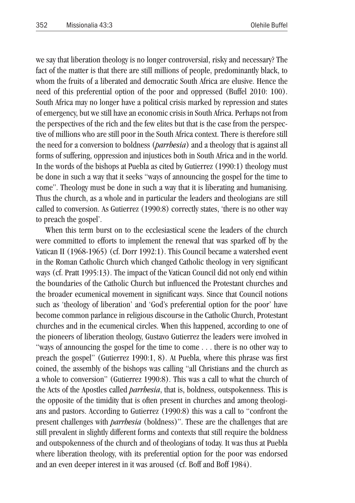we say that liberation theology is no longer controversial, risky and necessary? The fact of the matter is that there are still millions of people, predominantly black, to whom the fruits of a liberated and democratic South Africa are elusive. Hence the need of this preferential option of the poor and oppressed (Buffel 2010: 100). South Africa may no longer have a political crisis marked by repression and states of emergency, but we still have an economic crisis in South Africa. Perhaps not from the perspectives of the rich and the few elites but that is the case from the perspective of millions who are still poor in the South Africa context. There is therefore still the need for a conversion to boldness (*parrhesia*) and a theology that is against all forms of suffering, oppression and injustices both in South Africa and in the world. In the words of the bishops at Puebla as cited by Gutierrez (1990:1) theology must be done in such a way that it seeks "ways of announcing the gospel for the time to come". Theology must be done in such a way that it is liberating and humanising. Thus the church, as a whole and in particular the leaders and theologians are still called to conversion. As Gutierrez (1990:8) correctly states, 'there is no other way to preach the gospel'.

When this term burst on to the ecclesiastical scene the leaders of the church were committed to efforts to implement the renewal that was sparked off by the Vatican II (1968-1965) (cf. Dorr 1992:1). This Council became a watershed event in the Roman Catholic Church which changed Catholic theology in very significant ways (cf. Pratt 1995:13). The impact of the Vatican Council did not only end within the boundaries of the Catholic Church but influenced the Protestant churches and the broader ecumenical movement in significant ways. Since that Council notions such as 'theology of liberation' and 'God's preferential option for the poor' have become common parlance in religious discourse in the Catholic Church, Protestant churches and in the ecumenical circles. When this happened, according to one of the pioneers of liberation theology, Gustavo Gutierrez the leaders were involved in "ways of announcing the gospel for the time to come . . . there is no other way to preach the gospel" (Gutierrez 1990:1, 8). At Puebla, where this phrase was first coined, the assembly of the bishops was calling "all Christians and the church as a whole to conversion" (Gutierrez 1990:8). This was a call to what the church of the Acts of the Apostles called *parrhesia*, that is, boldness, outspokenness. This is the opposite of the timidity that is often present in churches and among theologians and pastors. According to Gutierrez (1990:8) this was a call to "confront the present challenges with *parrhesia* (boldness)". These are the challenges that are still prevalent in slightly different forms and contexts that still require the boldness and outspokenness of the church and of theologians of today. It was thus at Puebla where liberation theology, with its preferential option for the poor was endorsed and an even deeper interest in it was aroused (cf. Boff and Boff 1984).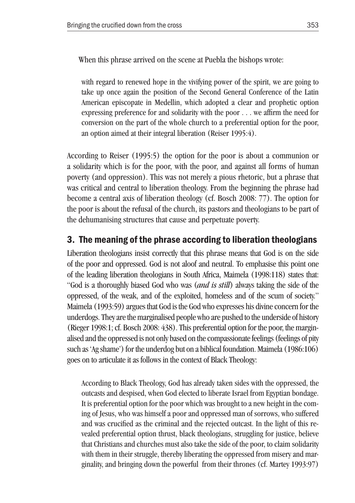When this phrase arrived on the scene at Puebla the bishops wrote:

with regard to renewed hope in the vivifying power of the spirit, we are going to take up once again the position of the Second General Conference of the Latin American episcopate in Medellin, which adopted a clear and prophetic option expressing preference for and solidarity with the poor . . . we affirm the need for conversion on the part of the whole church to a preferential option for the poor, an option aimed at their integral liberation (Reiser 1995:4).

According to Reiser (1995:5) the option for the poor is about a communion or a solidarity which is for the poor, with the poor, and against all forms of human poverty (and oppression). This was not merely a pious rhetoric, but a phrase that was critical and central to liberation theology. From the beginning the phrase had become a central axis of liberation theology (cf. Bosch 2008: 77). The option for the poor is about the refusal of the church, its pastors and theologians to be part of the dehumanising structures that cause and perpetuate poverty.

#### 3. The meaning of the phrase according to liberation theologians

Liberation theologians insist correctly that this phrase means that God is on the side of the poor and oppressed. God is not aloof and neutral. To emphasise this point one of the leading liberation theologians in South Africa, Maimela (1998:118) states that: "God is a thoroughly biased God who was (*and is still*) always taking the side of the oppressed, of the weak, and of the exploited, homeless and of the scum of society." Maimela (1993:59) argues that God is the God who expresses his divine concern for the underdogs. They are the marginalised people who are pushed to the underside of history (Rieger 1998:1; cf. Bosch 2008: 438). This preferential option for the poor, the marginalised and the oppressed is not only based on the compassionate feelings (feelings of pity such as 'Ag shame') for the underdog but on a biblical foundation. Maimela (1986:106) goes on to articulate it as follows in the context of Black Theology:

According to Black Theology, God has already taken sides with the oppressed, the outcasts and despised, when God elected to liberate Israel from Egyptian bondage. It is preferential option for the poor which was brought to a new height in the coming of Jesus, who was himself a poor and oppressed man of sorrows, who suffered and was crucified as the criminal and the rejected outcast. In the light of this revealed preferential option thrust, black theologians, struggling for justice, believe that Christians and churches must also take the side of the poor, to claim solidarity with them in their struggle, thereby liberating the oppressed from misery and marginality, and bringing down the powerful from their thrones (cf. Martey 1993:97)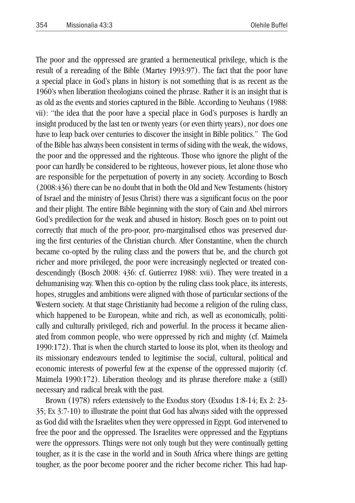The poor and the oppressed are granted a hermeneutical privilege, which is the result of a rereading of the Bible (Martey 1993:97). The fact that the poor have a special place in God's plans in history is not something that is as recent as the 1960's when liberation theologians coined the phrase. Rather it is an insight that is as old as the events and stories captured in the Bible. According to Neuhaus (1988: vii): "the idea that the poor have a special place in God's purposes is hardly an insight produced by the last ten or twenty years (or even thirty years), nor does one have to leap back over centuries to discover the insight in Bible politics." The God of the Bible has always been consistent in terms of siding with the weak, the widows, the poor and the oppressed and the righteous. Those who ignore the plight of the poor can hardly be considered to be righteous, however pious, let alone those who are responsible for the perpetuation of poverty in any society. According to Bosch (2008:436) there can be no doubt that in both the Old and New Testaments (history of Israel and the ministry of Jesus Christ) there was a significant focus on the poor and their plight. The entire Bible beginning with the story of Cain and Abel mirrors God's predilection for the weak and abused in history. Bosch goes on to point out correctly that much of the pro-poor, pro-marginalised ethos was preserved during the first centuries of the Christian church. After Constantine, when the church became co-opted by the ruling class and the powers that be, and the church got richer and more privileged, the poor were increasingly neglected or treated condescendingly (Bosch 2008: 436: cf. Gutierrez 1988: xvii). They were treated in a dehumanising way. When this co-option by the ruling class took place, its interests, hopes, struggles and ambitions were aligned with those of particular sections of the Western society. At that stage Christianity had become a religion of the ruling class, which happened to be European, white and rich, as well as economically, politically and culturally privileged, rich and powerful. In the process it became alienated from common people, who were oppressed by rich and mighty (cf. Maimela 1990:172). That is when the church started to loose its plot, when its theology and its missionary endeavours tended to legitimise the social, cultural, political and economic interests of powerful few at the expense of the oppressed majority (cf. Maimela 1990:172). Liberation theology and its phrase therefore make a (still) necessary and radical break with the past.

Brown (1978) refers extensively to the Exodus story (Exodus 1:8-14; Ex 2: 23- 35; Ex 3:7-10) to illustrate the point that God has always sided with the oppressed as God did with the Israelites when they were oppressed in Egypt. God intervened to free the poor and the oppressed. The Israelites were oppressed and the Egyptians were the oppressors. Things were not only tough but they were continually getting tougher, as it is the case in the world and in South Africa where things are getting tougher, as the poor become poorer and the richer become richer. This had hap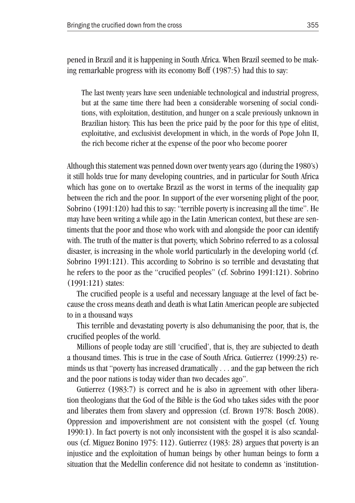pened in Brazil and it is happening in South Africa. When Brazil seemed to be making remarkable progress with its economy Boff (1987:5) had this to say:

The last twenty years have seen undeniable technological and industrial progress, but at the same time there had been a considerable worsening of social conditions, with exploitation, destitution, and hunger on a scale previously unknown in Brazilian history. This has been the price paid by the poor for this type of elitist, exploitative, and exclusivist development in which, in the words of Pope John II, the rich become richer at the expense of the poor who become poorer

Although this statement was penned down over twenty years ago (during the 1980's) it still holds true for many developing countries, and in particular for South Africa which has gone on to overtake Brazil as the worst in terms of the inequality gap between the rich and the poor. In support of the ever worsening plight of the poor, Sobrino (1991:120) had this to say: "terrible poverty is increasing all the time". He may have been writing a while ago in the Latin American context, but these are sentiments that the poor and those who work with and alongside the poor can identify with. The truth of the matter is that poverty, which Sobrino referred to as a colossal disaster, is increasing in the whole world particularly in the developing world (cf. Sobrino 1991:121). This according to Sobrino is so terrible and devastating that he refers to the poor as the "crucified peoples" (cf. Sobrino 1991:121). Sobrino (1991:121) states:

The crucified people is a useful and necessary language at the level of fact because the cross means death and death is what Latin American people are subjected to in a thousand ways

This terrible and devastating poverty is also dehumanising the poor, that is, the crucified peoples of the world.

Millions of people today are still 'crucified', that is, they are subjected to death a thousand times. This is true in the case of South Africa. Gutierrez (1999:23) reminds us that "poverty has increased dramatically . . . and the gap between the rich and the poor nations is today wider than two decades ago".

Gutierrez (1983:7) is correct and he is also in agreement with other liberation theologians that the God of the Bible is the God who takes sides with the poor and liberates them from slavery and oppression (cf. Brown 1978: Bosch 2008). Oppression and impoverishment are not consistent with the gospel (cf. Young 1990:1). In fact poverty is not only inconsistent with the gospel it is also scandalous (cf. Miguez Bonino 1975: 112). Gutierrez (1983: 28) argues that poverty is an injustice and the exploitation of human beings by other human beings to form a situation that the Medellin conference did not hesitate to condemn as 'institution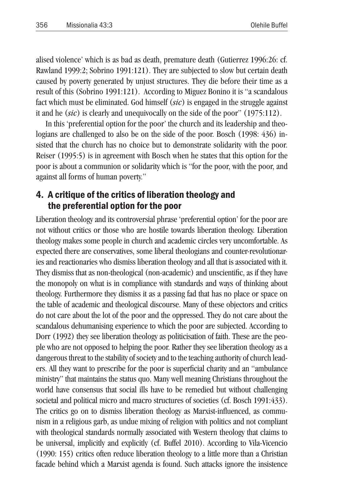alised violence' which is as bad as death, premature death (Gutierrez 1996:26: cf. Rawland 1999:2; Sobrino 1991:121). They are subjected to slow but certain death caused by poverty generated by unjust structures. They die before their time as a result of this (Sobrino 1991:121). According to Miguez Bonino it is "a scandalous fact which must be eliminated. God himself (*sic*) is engaged in the struggle against it and he (*sic*) is clearly and unequivocally on the side of the poor" (1975:112).

In this 'preferential option for the poor' the church and its leadership and theologians are challenged to also be on the side of the poor. Bosch (1998: 436) insisted that the church has no choice but to demonstrate solidarity with the poor. Reiser (1995:5) is in agreement with Bosch when he states that this option for the poor is about a communion or solidarity which is "for the poor, with the poor, and against all forms of human poverty."

#### 4. A critique of the critics of liberation theology and the preferential option for the poor

Liberation theology and its controversial phrase 'preferential option' for the poor are not without critics or those who are hostile towards liberation theology. Liberation theology makes some people in church and academic circles very uncomfortable. As expected there are conservatives, some liberal theologians and counter-revolutionaries and reactionaries who dismiss liberation theology and all that is associated with it. They dismiss that as non-theological (non-academic) and unscientific, as if they have the monopoly on what is in compliance with standards and ways of thinking about theology. Furthermore they dismiss it as a passing fad that has no place or space on the table of academic and theological discourse. Many of these objectors and critics do not care about the lot of the poor and the oppressed. They do not care about the scandalous dehumanising experience to which the poor are subjected. According to Dorr (1992) they see liberation theology as politicisation of faith. These are the people who are not opposed to helping the poor. Rather they see liberation theology as a dangerous threat to the stability of society and to the teaching authority of church leaders. All they want to prescribe for the poor is superficial charity and an "ambulance ministry" that maintains the status quo. Many well meaning Christians throughout the world have consensus that social ills have to be remedied but without challenging societal and political micro and macro structures of societies (cf. Bosch 1991:433). The critics go on to dismiss liberation theology as Marxist-influenced, as communism in a religious garb, as undue mixing of religion with politics and not compliant with theological standards normally associated with Western theology that claims to be universal, implicitly and explicitly (cf. Buffel 2010). According to Vila-Vicencio (1990: 155) critics often reduce liberation theology to a little more than a Christian facade behind which a Marxist agenda is found. Such attacks ignore the insistence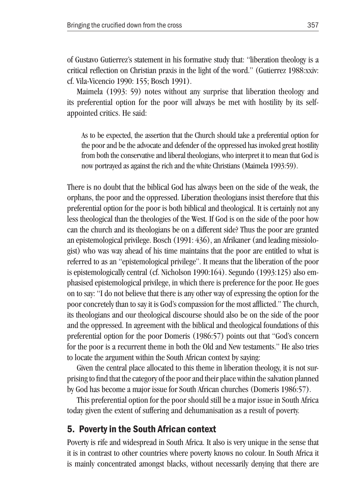of Gustavo Gutierrez's statement in his formative study that: "liberation theology is a critical reflection on Christian praxis in the light of the word." (Gutierrez 1988:xxiv: cf. Vila-Vicencio 1990: 155; Bosch 1991).

Maimela (1993: 59) notes without any surprise that liberation theology and its preferential option for the poor will always be met with hostility by its selfappointed critics. He said:

As to be expected, the assertion that the Church should take a preferential option for the poor and be the advocate and defender of the oppressed has invoked great hostility from both the conservative and liberal theologians, who interpret it to mean that God is now portrayed as against the rich and the white Christians (Maimela 1993:59).

There is no doubt that the biblical God has always been on the side of the weak, the orphans, the poor and the oppressed. Liberation theologians insist therefore that this preferential option for the poor is both biblical and theological. It is certainly not any less theological than the theologies of the West. If God is on the side of the poor how can the church and its theologians be on a different side? Thus the poor are granted an epistemological privilege. Bosch (1991: 436), an Afrikaner (and leading missiologist) who was way ahead of his time maintains that the poor are entitled to what is referred to as an "epistemological privilege". It means that the liberation of the poor is epistemologically central (cf. Nicholson 1990:164). Segundo (1993:125) also emphasised epistemological privilege, in which there is preference for the poor. He goes on to say: "I do not believe that there is any other way of expressing the option for the poor concretely than to say it is God's compassion for the most afflicted." The church, its theologians and our theological discourse should also be on the side of the poor and the oppressed. In agreement with the biblical and theological foundations of this preferential option for the poor Domeris (1986:57) points out that "God's concern for the poor is a recurrent theme in both the Old and New testaments." He also tries to locate the argument within the South African context by saying:

Given the central place allocated to this theme in liberation theology, it is not surprising to find that the category of the poor and their place within the salvation planned by God has become a major issue for South African churches (Domeris 1986:57).

This preferential option for the poor should still be a major issue in South Africa today given the extent of suffering and dehumanisation as a result of poverty.

#### 5. Poverty in the South African context

Poverty is rife and widespread in South Africa. It also is very unique in the sense that it is in contrast to other countries where poverty knows no colour. In South Africa it is mainly concentrated amongst blacks, without necessarily denying that there are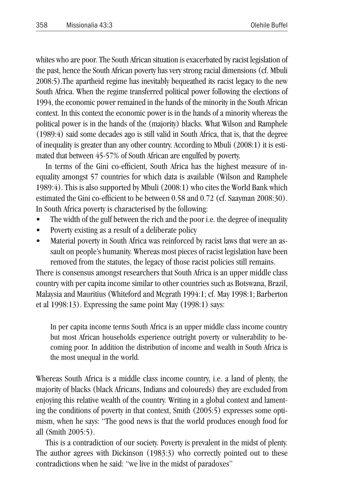whites who are poor. The South African situation is exacerbated by racist legislation of the past, hence the South African poverty has very strong racial dimensions (cf. Mbuli 2008:5).The apartheid regime has inevitably bequeathed its racist legacy to the new South Africa. When the regime transferred political power following the elections of 1994, the economic power remained in the hands of the minority in the South African context. In this context the economic power is in the hands of a minority whereas the political power is in the hands of the (majority) blacks. What Wilson and Ramphele (1989:4) said some decades ago is still valid in South Africa, that is, that the degree of inequality is greater than any other country. According to Mbuli (2008:1) it is estimated that between 45-57% of South African are engulfed by poverty.

In terms of the Gini co-efficient, South Africa has the highest measure of inequality amongst 57 countries for which data is available (Wilson and Ramphele 1989:4). This is also supported by Mbuli (2008:1) who cites the World Bank which estimated the Gini co-efficient to be between 0.58 and 0.72 (cf. Saayman 2008:30). In South Africa poverty is characterised by the following:

- The width of the gulf between the rich and the poor *i.e.* the degree of inequality
- Poverty existing as a result of a deliberate policy
- Material poverty in South Africa was reinforced by racist laws that were an assault on people's humanity. Whereas most pieces of racist legislation have been removed from the statutes, the legacy of those racist policies still remains.

There is consensus amongst researchers that South Africa is an upper middle class country with per capita income similar to other countries such as Botswana, Brazil, Malaysia and Mauritius (Whiteford and Mcgrath 1994:1; cf. May 1998:1; Barberton et al 1998:13). Expressing the same point May (1998:1) says:

In per capita income terms South Africa is an upper middle class income country but most African households experience outright poverty or vulnerability to becoming poor. In addition the distribution of income and wealth in South Africa is the most unequal in the world.

Whereas South Africa is a middle class income country, i.e. a land of plenty, the majority of blacks (black Africans, Indians and coloureds) they are excluded from enjoying this relative wealth of the country. Writing in a global context and lamenting the conditions of poverty in that context, Smith (2005:5) expresses some optimism, when he says: "The good news is that the world produces enough food for all (Smith 2005:5).

This is a contradiction of our society. Poverty is prevalent in the midst of plenty. The author agrees with Dickinson (1983:3) who correctly pointed out to these contradictions when he said: "we live in the midst of paradoxes"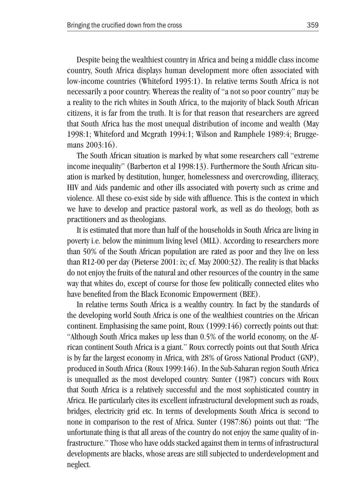Despite being the wealthiest country in Africa and being a middle class income country, South Africa displays human development more often associated with low-income countries (Whiteford 1995:1). In relative terms South Africa is not necessarily a poor country. Whereas the reality of "a not so poor country" may be a reality to the rich whites in South Africa, to the majority of black South African citizens, it is far from the truth. It is for that reason that researchers are agreed that South Africa has the most unequal distribution of income and wealth (May 1998:1; Whiteford and Mcgrath 1994:1; Wilson and Ramphele 1989:4; Bruggemans 2003:16).

The South African situation is marked by what some researchers call "extreme income inequality" (Barberton et al 1998:13). Furthermore the South African situation is marked by destitution, hunger, homelessness and overcrowding, illiteracy, HIV and Aids pandemic and other ills associated with poverty such as crime and violence. All these co-exist side by side with affluence. This is the context in which we have to develop and practice pastoral work, as well as do theology, both as practitioners and as theologians.

It is estimated that more than half of the households in South Africa are living in poverty i.e. below the minimum living level (MLL). According to researchers more than 50% of the South African population are rated as poor and they live on less than R12-00 per day (Pieterse 2001: ix; cf. May 2000:32). The reality is that blacks do not enjoy the fruits of the natural and other resources of the country in the same way that whites do, except of course for those few politically connected elites who have benefited from the Black Economic Empowerment (BEE).

In relative terms South Africa is a wealthy country. In fact by the standards of the developing world South Africa is one of the wealthiest countries on the African continent. Emphasising the same point, Roux (1999:146) correctly points out that: "Although South Africa makes up less than 0.5% of the world economy, on the African continent South Africa is a giant." Roux correctly points out that South Africa is by far the largest economy in Africa, with 28% of Gross National Product (GNP), produced in South Africa (Roux 1999:146). In the Sub-Saharan region South Africa is unequalled as the most developed country. Sunter (1987) concurs with Roux that South Africa is a relatively successful and the most sophisticated country in Africa. He particularly cites its excellent infrastructural development such as roads, bridges, electricity grid etc. In terms of developments South Africa is second to none in comparison to the rest of Africa. Sunter (1987:86) points out that: "The unfortunate thing is that all areas of the country do not enjoy the same quality of infrastructure." Those who have odds stacked against them in terms of infrastructural developments are blacks, whose areas are still subjected to underdevelopment and neglect.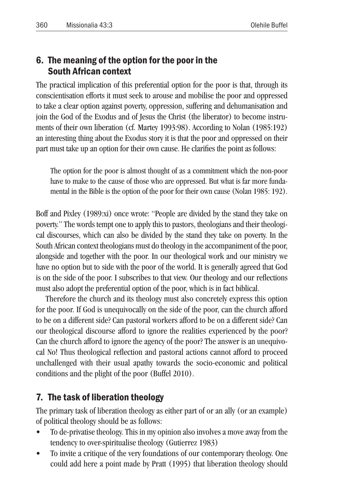## 6. The meaning of the option for the poor in the South African context

The practical implication of this preferential option for the poor is that, through its conscientisation efforts it must seek to arouse and mobilise the poor and oppressed to take a clear option against poverty, oppression, suffering and dehumanisation and join the God of the Exodus and of Jesus the Christ (the liberator) to become instruments of their own liberation (cf. Martey 1993:98). According to Nolan (1985:192) an interesting thing about the Exodus story it is that the poor and oppressed on their part must take up an option for their own cause. He clarifies the point as follows:

The option for the poor is almost thought of as a commitment which the non-poor have to make to the cause of those who are oppressed. But what is far more fundamental in the Bible is the option of the poor for their own cause (Nolan 1985: 192).

Boff and Pixley (1989:xi) once wrote: "People are divided by the stand they take on poverty." The words tempt one to apply this to pastors, theologians and their theological discourses, which can also be divided by the stand they take on poverty. In the South African context theologians must do theology in the accompaniment of the poor, alongside and together with the poor. In our theological work and our ministry we have no option but to side with the poor of the world. It is generally agreed that God is on the side of the poor. I subscribes to that view. Our theology and our reflections must also adopt the preferential option of the poor, which is in fact biblical.

Therefore the church and its theology must also concretely express this option for the poor. If God is unequivocally on the side of the poor, can the church afford to be on a different side? Can pastoral workers afford to be on a different side? Can our theological discourse afford to ignore the realities experienced by the poor? Can the church afford to ignore the agency of the poor? The answer is an unequivocal No! Thus theological reflection and pastoral actions cannot afford to proceed unchallenged with their usual apathy towards the socio-economic and political conditions and the plight of the poor (Buffel 2010).

## 7. The task of liberation theology

The primary task of liberation theology as either part of or an ally (or an example) of political theology should be as follows:

- To de-privatise theology. This in my opinion also involves a move away from the tendency to over-spiritualise theology (Gutierrez 1983)
- To invite a critique of the very foundations of our contemporary theology. One could add here a point made by Pratt (1995) that liberation theology should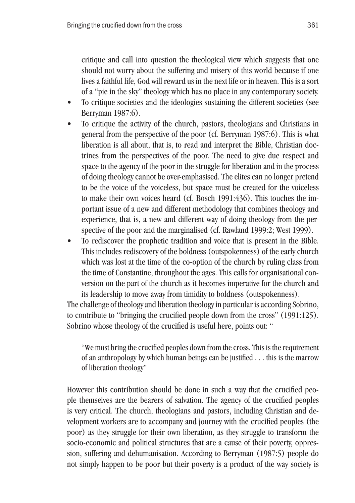critique and call into question the theological view which suggests that one should not worry about the suffering and misery of this world because if one lives a faithful life, God will reward us in the next life or in heaven. This is a sort of a "pie in the sky" theology which has no place in any contemporary society.

- To critique societies and the ideologies sustaining the different societies (see Berryman 1987:6).
- To critique the activity of the church, pastors, theologians and Christians in general from the perspective of the poor (cf. Berryman 1987:6). This is what liberation is all about, that is, to read and interpret the Bible, Christian doctrines from the perspectives of the poor. The need to give due respect and space to the agency of the poor in the struggle for liberation and in the process of doing theology cannot be over-emphasised. The elites can no longer pretend to be the voice of the voiceless, but space must be created for the voiceless to make their own voices heard (cf. Bosch 1991:436). This touches the important issue of a new and different methodology that combines theology and experience, that is, a new and different way of doing theology from the perspective of the poor and the marginalised (cf. Rawland 1999:2; West 1999).
- To rediscover the prophetic tradition and voice that is present in the Bible. This includes rediscovery of the boldness (outspokenness) of the early church which was lost at the time of the co-option of the church by ruling class from the time of Constantine, throughout the ages. This calls for organisational conversion on the part of the church as it becomes imperative for the church and its leadership to move away from timidity to boldness (outspokenness).

The challenge of theology and liberation theology in particular is according Sobrino, to contribute to "bringing the crucified people down from the cross" (1991:125). Sobrino whose theology of the crucified is useful here, points out: "

"We must bring the crucified peoples down from the cross. This is the requirement of an anthropology by which human beings can be justified . . . this is the marrow of liberation theology"

However this contribution should be done in such a way that the crucified people themselves are the bearers of salvation. The agency of the crucified peoples is very critical. The church, theologians and pastors, including Christian and development workers are to accompany and journey with the crucified peoples (the poor) as they struggle for their own liberation, as they struggle to transform the socio-economic and political structures that are a cause of their poverty, oppression, suffering and dehumanisation. According to Berryman (1987:5) people do not simply happen to be poor but their poverty is a product of the way society is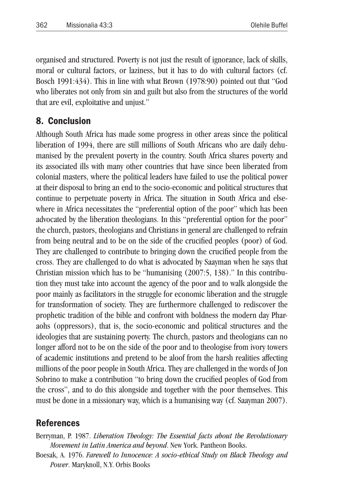organised and structured. Poverty is not just the result of ignorance, lack of skills, moral or cultural factors, or laziness, but it has to do with cultural factors (cf. Bosch 1991:434). This in line with what Brown (1978:90) pointed out that "God who liberates not only from sin and guilt but also from the structures of the world that are evil, exploitative and unjust."

### 8. Conclusion

Although South Africa has made some progress in other areas since the political liberation of 1994, there are still millions of South Africans who are daily dehumanised by the prevalent poverty in the country. South Africa shares poverty and its associated ills with many other countries that have since been liberated from colonial masters, where the political leaders have failed to use the political power at their disposal to bring an end to the socio-economic and political structures that continue to perpetuate poverty in Africa. The situation in South Africa and elsewhere in Africa necessitates the "preferential option of the poor" which has been advocated by the liberation theologians. In this "preferential option for the poor" the church, pastors, theologians and Christians in general are challenged to refrain from being neutral and to be on the side of the crucified peoples (poor) of God. They are challenged to contribute to bringing down the crucified people from the cross. They are challenged to do what is advocated by Saayman when he says that Christian mission which has to be "humanising (2007:5, 138)." In this contribution they must take into account the agency of the poor and to walk alongside the poor mainly as facilitators in the struggle for economic liberation and the struggle for transformation of society. They are furthermore challenged to rediscover the prophetic tradition of the bible and confront with boldness the modern day Pharaohs (oppressors), that is, the socio-economic and political structures and the ideologies that are sustaining poverty. The church, pastors and theologians can no longer afford not to be on the side of the poor and to theologise from ivory towers of academic institutions and pretend to be aloof from the harsh realities affecting millions of the poor people in South Africa. They are challenged in the words of Jon Sobrino to make a contribution "to bring down the crucified peoples of God from the cross", and to do this alongside and together with the poor themselves. This must be done in a missionary way, which is a humanising way (cf. Saayman 2007).

## References

Berryman, P. 1987. *Liberation Theology: The Essential facts about the Revolutionary Movement in Latin America and beyond*. New York. Pantheon Books.

Boesak, A. 1976. *Farewell to Innocence: A socio-ethical Study on Black Theology and Power*. Maryknoll, N.Y. Orbis Books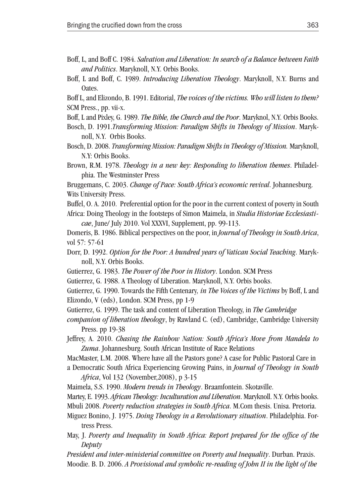- Boff, L, and Boff C. 1984. *Salvation and Liberation: In search of a Balance between Faith and Politics*. Maryknoll, N.Y. Orbis Books.
- Boff, L and Boff, C. 1989. *Introducing Liberation Theology*. Maryknoll, N.Y. Burns and Oates.

Boff L, and Elizondo, B. 1991. Editorial, *The voices of the victims. Who will listen to them?* SCM Press., pp. vii-x.

- Boff, L and Pixley, G. 1989. *The Bible, the Church and the Poor*. Maryknol, N.Y. Orbis Books.
- Bosch, D. 1991.*Transforming Mission: Paradigm Shifts in Theology of Mission*. Maryknoll, N.Y. Orbis Books.
- Bosch, D. 2008. *Transforming Mission: Paradigm Shifts in Theology of Mission.* Maryknoll, N.Y: Orbis Books.
- Brown, R.M. 1978. *Theology in a new key: Responding to liberation themes*. Philadelphia. The Westminster Press

Bruggemans, C. 2003. *Change of Pace: South Africa's economic revival*. Johannesburg. Wits University Press.

Buffel, O. A. 2010. Preferential option for the poor in the current context of poverty in South Africa: Doing Theology in the footsteps of Simon Maimela, in *Studia Historiae Ecclesiasticae*, June/ July 2010. Vol XXXVI, Supplement, pp. 99-113.

Domeris, B. 1986. Biblical perspectives on the poor, in *Journal of Theology in South Arica*, vol 57: 57-61

- Dorr, D. 1992. *Option for the Poor: A hundred years of Vatican Social Teaching*. Maryknoll, N.Y. Orbis Books.
- Gutierrez, G. 1983. *The Power of the Poor in History*. London. SCM Press

Gutierrez, G. 1988. A Theology of Liberation. Maryknoll, N.Y. Orbis books.

Gutierrez, G. 1990. Towards the Fifth Centenary*, in The Voices of the Victims* by Boff, L and Elizondo, V (eds), London. SCM Press, pp 1-9

Gutierrez, G. 1999. The task and content of Liberation Theology, in *The Cambridge* 

*companion of liberation theology*, by Rawland C. (ed), Cambridge, Cambridge University Press. pp 19-38

Jeffrey, A. 2010. *Chasing the Rainbow Nation: South Africa's Move from Mandela to Zuma*. Johannesburg. South African Institute of Race Relations

MacMaster, L.M. 2008. Where have all the Pastors gone? A case for Public Pastoral Care in a Democratic South Africa Experiencing Growing Pains, in *Journal of Theology in South* 

*Africa*, Vol 132 (November,2008), p 3-15

Maimela, S.S. 1990. *Modern trends in Theology*. Braamfontein. Skotaville.

Martey, E. 1993. *African Theology: Inculturation and Liberation*. Maryknoll. N.Y. Orbis books.

Mbuli 2008. *Poverty reduction strategies in South Africa*. M.Com thesis. Unisa. Pretoria.

- Miguez Bonino, J. 1975. *Doing Theology in a Revolutionary situation*. Philadelphia. Fortress Press.
- May, J. *Poverty and Inequality in South Africa: Report prepared for the office of the Deputy*

*President and inter-ministerial committee on Poverty and Inequality*. Durban. Praxis. Moodie. B. D. 2006. *A Provisional and symbolic re-reading of John II in the light of the*